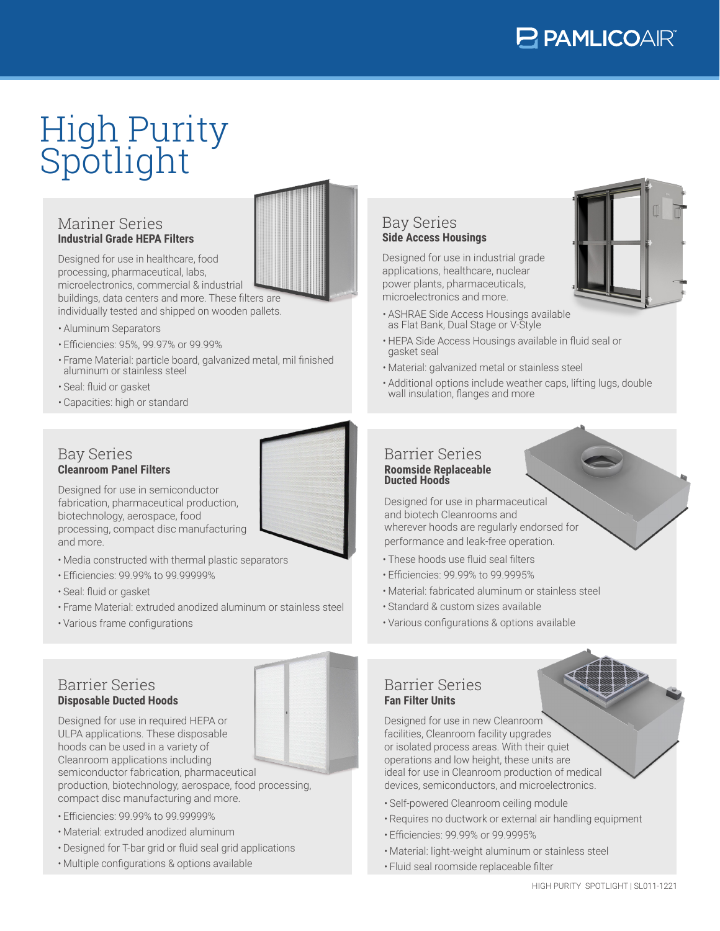# High Purity Spotlight

#### Mariner Series **Industrial Grade HEPA Filters**

Designed for use in healthcare, food processing, pharmaceutical, labs, microelectronics, commercial & industrial buildings, data centers and more. These filters are individually tested and shipped on wooden pallets.

- Aluminum Separators
- Efficiencies: 95%, 99.97% or 99.99%
- Frame Material: particle board, galvanized metal, mil finished aluminum or stainless steel
- Seal: fluid or gasket
- Capacities: high or standard

#### Bay Series **Cleanroom Panel Filters**

Designed for use in semiconductor fabrication, pharmaceutical production, biotechnology, aerospace, food processing, compact disc manufacturing and more.

- Media constructed with thermal plastic separators
- Efficiencies: 99.99% to 99.99999%
- Seal: fluid or gasket
- Frame Material: extruded anodized aluminum or stainless steel
- Various frame configurations

#### Bay Series **Side Access Housings**

Designed for use in industrial grade applications, healthcare, nuclear power plants, pharmaceuticals, microelectronics and more.

- ASHRAE Side Access Housings available as Flat Bank, Dual Stage or V-Style
- HEPA Side Access Housings available in fluid seal or gasket seal
- Material: galvanized metal or stainless steel
- Additional options include weather caps, lifting lugs, double wall insulation, flanges and more

#### **Roomside Replaceable Ducted Hoods** Barrier Series

Designed for use in pharmaceutical and biotech Cleanrooms and wherever hoods are regularly endorsed for performance and leak-free operation.

- These hoods use fluid seal filters
- Efficiencies: 99.99% to 99.9995%
- Material: fabricated aluminum or stainless steel
- Standard & custom sizes available
- Various configurations & options available

#### Barrier Series **Disposable Ducted Hoods**



Designed for use in required HEPA or ULPA applications. These disposable hoods can be used in a variety of Cleanroom applications including semiconductor fabrication, pharmaceutical production, biotechnology, aerospace, food processing, compact disc manufacturing and more.

• Efficiencies: 99.99% to 99.99999%

- Material: extruded anodized aluminum
- Designed for T-bar grid or fluid seal grid applications
- Multiple configurations & options available

#### **Fan Filter Units** Barrier Series

Designed for use in new Cleanroom facilities, Cleanroom facility upgrades or isolated process areas. With their quiet operations and low height, these units are ideal for use in Cleanroom production of medical devices, semiconductors, and microelectronics.

- Self-powered Cleanroom ceiling module
- Requires no ductwork or external air handling equipment
- Efficiencies: 99.99% or 99.9995%
- Material: light-weight aluminum or stainless steel
- Fluid seal roomside replaceable filter